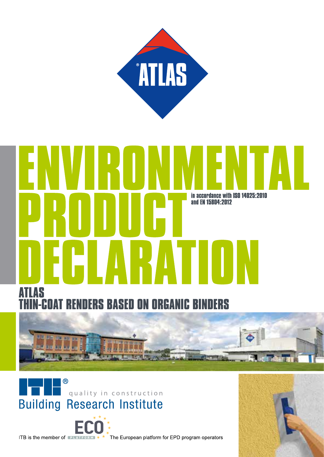

# in accordance with ISO 14025:2010 and EN 15804:2012  $\mathbf{l}$ S

**RS BASED ON ORGANIC BINDERS** 







ITB is the member of **PLATFORM**  $*$   $*$  The European platform for EPD program operators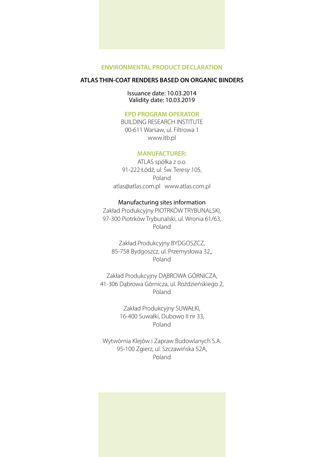#### **ATLAS THIN-COAT RENDERS BASED ON ORGANIC BINDERS**

#### Issuance date: 10.03.2014 Validity date: 10.03.2019

#### **EPD PROGRAM OPERATOR**

BUILDING RESEARCH INSTITUTE 00-611 Warsaw, ul. Filtrowa 1 www.itb.pl

#### **MANUFACTURER:**

ATLAS spółka z o.o. 91-222 Łódź, ul. Św. Teresy 105, Poland atlas@atlas.com.pl www.atlas.com.pl

#### Manufacturing sites information

Zakład Produkcyjny PIOTRKÓW TRYBUNALSKI, 97-300 Piotrków Trybunalski, ul. Wronia 61/63, Poland

Zakład Produkcyjny BYDGOSZCZ, 85-758 Bydgoszcz, ul. Przemysłowa 32,, Poland

Zakład Produkcyjny DĄBROWA GÓRNICZA, 41-306 Dąbrowa Górnicza, ul. Roździeńskiego 2, Poland

> Zakład Produkcyjny SUWAŁKI, 16-400 Suwałki, Dubowo II nr 33, Poland

Wytwórnia Klejów i Zapraw Budowlanych S.A. 95-100 Zgierz, ul. Szczawińska 52A, Poland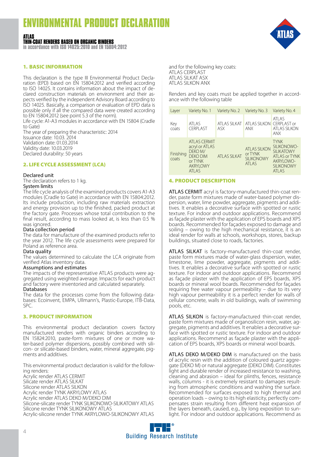#### **ATLAS THIN-COAT RENDERS BASED ON ORGANIC BINDERS**

**in accordance with ISO 14025:2010 and EN 15804:2012**

#### 1. BASIC INFORMATION

This declaration is the type III Environmental Product Declaration (EPD) based on EN 15804:2012 and verified according to ISO 14025. It contains information about the impact of declared construction materials on environment and their aspects verified by the independent Advisory Board according to ISO 14025. Basically, a comparison or evaluation of EPD data is possible only if all the compared data were created according to EN 15804:2012 (see point 5.3 of the norm).

Life cycle: A1-A3 modules in accordance with EN 15804 (Cradle to Gate)

The year of preparing the characteristic: 2014 Issuance date: 10.03. 2014 Validation date: 01.03.2014 Validity date: 10.03.2019 Declared durability: 50 years

#### 2. LIFE CYCLE ASSESSMENT (LCA)

#### Declared unit

The declaration refers to 1 kg. System limits

The life cycle analysis of the examined products covers A1-A3 modules (Cradle to Gate) in accordance with EN 15804:2012. Its include production, including raw materials extraction and energy provision up to the finished, packed product at the factory gate. Processes whose total contribution to the final result, according to mass looked at, is less than 0.5 % was ignored.

#### Data collection period

The data for manufacture of the examined products refer to the year 2012. The life cycle assessments were prepared for Poland as reference area.

#### Data quality

The values determined to calculate the LCA originate from verified Atlas inventory data.

#### Assumptions and estimates

The impacts of the representative ATLAS products were ag- gregated using weighted average. Impacts for each product and factory were inventoried and calculated separately.

#### Databases

The data for the processes come from the following databases: Ecoinvent, EMPA, Ullmann's, Plastic-Europe, ITB-Data, SPC.

#### 3. PRODUCT INFORMATION

This environmental product declaration covers factory manufactured renders with organic binders according to EN 15824:2010, paste-form mixtures of one or more water-based polymer dispersions, possibly combined with silicon- or silicate-based binders, water, mineral aggregate, pigments and additives.

This environmental product declaration is valid for the following renders: Acrylic render ATLAS CERMIT Silicate render ATLAS SILKAT Silicone render ATLAS SILKON Acrylic render TYNK AKRYLOWY ATLAS Acrylic render ATLAS DEKO M/DEKO DIM Silicone-silicate render TYNK SILIKONOWO-SILIKATOWY ATLAS Silicone render TYNK SILIKONOWY ATLAS Acrylic-silicone render TYNK AKRYLOWO-SILIKONOWY ATLAS



and for the following key coats: ATLAS CERPLAST ATLAS SILKAT ASX ATLAS SILKON ANX

Renders and key coats must be applied together in accordance with the following table

| Layer              | Variety No. 1                                                                                                | Variety No. 2                | Variety No. 3                                                 | Variety No. 4                                                                                                        |
|--------------------|--------------------------------------------------------------------------------------------------------------|------------------------------|---------------------------------------------------------------|----------------------------------------------------------------------------------------------------------------------|
| Key<br>coats       | <b>ATLAS</b><br><b>CERPI AST</b>                                                                             | ATI AS SII KAT<br><b>ASX</b> | <b>ATLAS SILKON CERPLAST or</b><br>ANX                        | ATLAS<br>ATI AS SII KON<br><b>ANX</b>                                                                                |
| Finishing<br>coats | <b>ATLAS CERMIT</b><br>acryl or ATLAS<br>DFKO M/<br><b>DEKO DIM</b><br>or TYNK<br><b>AKRYI OWY</b><br>ATI AS | <b>ATLAS SILKAT</b>          | <b>ATLAS SILKON</b><br>or TYNK<br><b>SILIKONOWY</b><br>ATI AS | <b>TYNK</b><br>SILIKONOWO-<br><b>SILIKATOWY</b><br><b>ATLAS or TYNK</b><br>AKRYLOWO-<br><b>SII IKONOWY</b><br>ATI AS |

#### 4. PRODUCT DESCRIPTION

ATLAS CERMIT acryl is factory-manufactured thin-coat render, paste form mixtures made of water-based polymer dispersion, water, lime powder, aggregate, pigments and additives. It enables a decorative surface with spotted or rustic texture. For indoor and outdoor applications. Recommend as façade plaster with the application of EPS boards and XPS boards. Recommended for façades exposed to damage and soiling – owing to the high mechanical resistance, it is an ideal render for walls at schools, workshops, stores, backup buildings, situated close to roads, factories.

ATLAS SILKAT is factory-manufactured thin-coat render, paste form mixtures made of water-glass dispersion, water, limestone, lime powder, aggregate, pigments and additives. It enables a decorative surface with spotted or rustic texture. For indoor and outdoor applications. Recommend as façade plaster with the application of EPS boards, XPS boards or mineral wool boards. Recommended for façades requiring free water vapour permeability – due to its very high vapour permeability it is a perfect render for walls of cellular concrete, walls in old buildings, walls of swimming pools, etc.

ATLAS SILKON is factory-manufactured thin-coat render, paste form mixtures made of organosilicon resin, water, aggregate, pigments and additives. It enables a decorative surface with spotted or rustic texture. For indoor and outdoor applications. Recommend as façade plaster with the application of EPS boards, XPS boards or mineral wool boards.

ATLAS DEKO M/DEKO DIM is manufactured on the basis of acrylic resin with the addition of coloured quartz aggregate (DEKO M) or natural aggregate (DEKO DIM). Constitutes light and durable render of increased resistance to washing, cleaning and abrasion – ideal for plinths, fences, resistance walls, columns - it is extremely resistant to damages resulting from atmospheric conditions and washing the surface. Recommended for surfaces exposed to high thermal and operation loads – owing to its high elasticity, perfectly compensates strain resulting from different heat expansion of the layers beneath, caused, e.g., by long exposition to sunlight. For indoor and outdoor applications. Recommend as

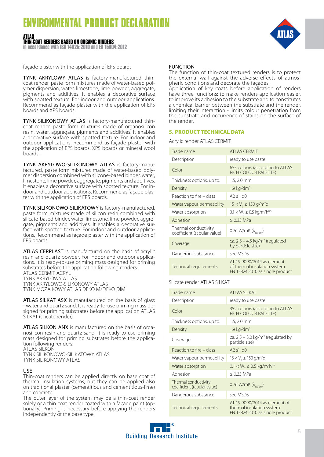#### **ATLAS THIN-COAT RENDERS BASED ON ORGANIC BINDERS**

**in accordance with ISO 14025:2010 and EN 15804:2012**



façade plaster with the application of EPS boards

TYNK AKRYLOWY ATLAS is factory-manufactured thincoat render, paste form mixtures made of water-based polymer dispersion, water, limestone, lime powder, aggregate, pigments and additives. It enables a decorative surface with spotted texture. For indoor and outdoor applications. Recommend as façade plaster with the application of EPS boards and XPS boards.

TYNK SILIKONOWY ATLAS is factory-manufactured thincoat render, paste form mixtures made of organosilicon resin, water, aggregate, pigments and additives. It enables a decorative surface with spotted texture. For indoor and outdoor applications. Recommend as façade plaster with the application of EPS boards, XPS boards or mineral wool boards.

TYNK AKRYLOWO-SILIKONOWY ATLAS is factory-manufactured, paste form mixtures made of water-based polymer dispersion combined with silicone-based binder, water, limestone, lime powder, aggregate, pigments and additives. It enables a decorative surface with spotted texture. For indoor and outdoor applications. Recommend as façade plaster with the application of EPS boards.

TYNK SILIKONOWO-SILIKATOWY is factory-manufactured, paste form mixtures made of silicon resin combined with silicate-based binder, water, limestone, lime powder, aggregate, pigments and additives. It enables a decorative surface with spotted texture. For indoor and outdoor applications. Recommend as façade plaster with the application of EPS boards.

ATLAS CERPLAST is manufactured on the basis of acrylic resin and quartz powder. For indoor and outdoor applications. It is ready-to-use priming mass designed for priming substrates before the application following renders: ATLAS CERMIT ACRYL TYNK AKRYLOWY ATLAS TYNK AKRYLOWO-SILIKONOWY ATLAS TYNK MOZAIKOWY ATLAS DEKO M/DEKO DIM

ATLAS SILKAT ASX is manufactured on the basis of glass - water and quartz sand. It is ready-to-use priming mass designed for priming substrates before the application ATLAS SILKAT (silicate render).

ATLAS SILKON ANX is manufactured on the basis of organosilicon resin and quartz sand. It is ready-to-use priming mass designed for priming substrates before the application following renders: ATLAS SILKON

TYNK SILIKONOWO-SILIKATOWY ATLAS TYNK SILIKONOWY ATLAS

#### USE

Thin-coat renders can be applied directly on base coat of thermal insulation systems, but they can be applied also on traditional plaster (cementitious and cementitious-lime) and concrete.

The outer layer of the system may be a thin-coat render solely or a thin coat render coated with a façade paint (optionally). Priming is necessary before applying the renders independently of the base type.

#### FUNCTION

The function of thin-coat textured renders is to protect the external wall against the adverse effects of atmospheric conditions and decorate the façades.

Application of key coats before application of renders have three functions: to make renders application easier, to improve its adhesion to the substrate and to constitutes a chemical barrier between the substrate and the render, limiting their interaction - limits colour penetration from the substrate and occurrence of stains on the surface of the render.

#### 5. PRODUCT TECHNICAL DATA

Acrylic render ATLAS CERMIT

| Trade name                                          | ATI AS CERMIT                                                                                 |
|-----------------------------------------------------|-----------------------------------------------------------------------------------------------|
| Description                                         | ready to use paste                                                                            |
| Color                                               | 655 colours (according to ATLAS<br>RICH COLOUR PALETTE)                                       |
| Thickness options, up to:                           | $1.5; 2.0$ mm                                                                                 |
| Density                                             | 1.9 kg/dm <sup>3</sup>                                                                        |
| Reaction to fire – class                            | A2 s1, d0                                                                                     |
| Water vapour permeability                           | $15 < V$ , $\leq 150$ g/m <sup>2</sup> d                                                      |
| Water absorption                                    | $0.1 < W_2 \le 0.5$ kg/m <sup>2</sup> h <sup>0,5</sup>                                        |
| Adhesion                                            | $> 0.35$ MPa                                                                                  |
| Thermal conductivity<br>coefficient (tabular value) | 0.76 W/mK $(\lambda_{10. div})$                                                               |
| Coverage                                            | ca. $2.5 - 4.5$ kg/m <sup>2</sup> (regulated<br>by particle size)                             |
| Dangerous substance                                 | see MSDS                                                                                      |
| Technical requirements                              | AT-15-9090/2014 as element<br>of thermal insulation system<br>EN 15824:2010 as single product |

#### Silicate render ATLAS SILKAT

| Trade name                                          | ATI AS SILKAT                                                                                 |
|-----------------------------------------------------|-----------------------------------------------------------------------------------------------|
| Description                                         | ready to use paste                                                                            |
| Color                                               | 352 colours (according to ATLAS<br>RICH COLOUR PALETTE)                                       |
| Thickness options, up to:                           | $1.5; 2.0$ mm                                                                                 |
| Density                                             | 1.9 kg/dm <sup>3</sup>                                                                        |
| Coverage                                            | ca. $2.5 - 3.0$ kg/m <sup>2</sup> (regulated by<br>particle size)                             |
| Reaction to fire – class                            | A <sub>2</sub> s <sub>1</sub> , d <sub>0</sub>                                                |
| Water vapour permeability                           | $15 < V_2 \le 150$ g/m <sup>2</sup> d                                                         |
| Water absorption                                    | $0.1 < W_2 \le 0.5$ kg/m <sup>2</sup> h <sup>0,5</sup>                                        |
| Adhesion                                            | $\geq$ 0.35 MPa                                                                               |
| Thermal conductivity<br>coefficient (tabular value) | 0.76 W/mK $(\lambda_{10. div})$                                                               |
| Dangerous substance                                 | see MSDS                                                                                      |
| Technical requirements                              | AT-15-9090/2014 as element of<br>thermal insulation system<br>EN 15824:2010 as single product |

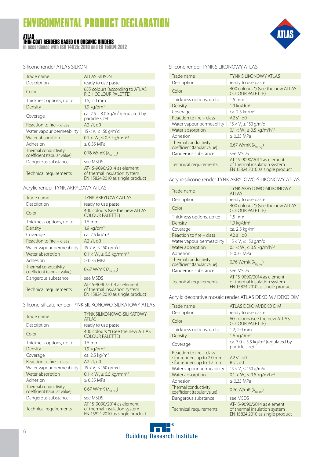#### **ATLAS THIN-COAT RENDERS BASED ON ORGANIC BINDERS**

**in accordance with ISO 14025:2010 and EN 15804:2012**



Silicone render ATLAS SILKON

| Trade name                                          | <b>ATLAS SILKON</b>                                                                           |
|-----------------------------------------------------|-----------------------------------------------------------------------------------------------|
| Description                                         | ready to use paste                                                                            |
| Color                                               | 655 colours (according to ATLAS<br><b>RICH COLOUR PALETTE)</b>                                |
| Thickness options, up to:                           | $1.5; 2.0$ mm                                                                                 |
| Density                                             | $1.9 \text{ kg/dm}^3$                                                                         |
| Coverage                                            | ca. $2.5 - 3.0$ kg/m <sup>2</sup> (regulated by<br>particle size)                             |
| Reaction to fire – class                            | A <sub>2</sub> s <sub>1</sub> , d <sub>0</sub>                                                |
| Water vapour permeability                           | $15 < V_1 \le 150$ g/m <sup>2</sup> d                                                         |
| Water absorption                                    | $0.1 < W_2 \le 0.5$ kg/m <sup>2</sup> h <sup>0,5</sup>                                        |
| Adhesion                                            | $> 0.35$ MPa                                                                                  |
| Thermal conductivity<br>coefficient (tabular value) | 0.76 W/mK $(\lambda_{\text{no. div}})$                                                        |
| Dangerous substance                                 | see MSDS                                                                                      |
| Technical requirements                              | AT-15-9090/2014 as element<br>of thermal insulation system<br>EN 15824:2010 as single product |

#### Acrylic render TYNK AKRYLOWY ATLAS

| Trade name                                          | <b>TYNK AKRYI OWY ATI AS</b>                                                                  |
|-----------------------------------------------------|-----------------------------------------------------------------------------------------------|
| Description                                         | ready to use paste                                                                            |
| Color                                               | 400 colours (see the new ATLAS<br><b>COLOUR PALETTE)</b>                                      |
| Thickness options, up to:                           | $1.5 \text{ mm}$                                                                              |
| Density                                             | $1.9 \text{ kg/dm}^3$                                                                         |
| Coverage                                            | ca. 2.5 kg/m <sup>2</sup>                                                                     |
| Reaction to fire - class                            | A2 s1, d0                                                                                     |
| Water vapour permeability                           | $15 < V$ , $\leq 150$ g/m <sup>2</sup> d                                                      |
| Water absorption                                    | $0.1 < W_2 \le 0.5$ kg/m <sup>2</sup> h <sup>0,5</sup>                                        |
| Adhesion                                            | $> 0.35$ MPa                                                                                  |
| Thermal conductivity<br>coefficient (tabular value) | 0.67 W/mK $(\lambda_{10. drv})$                                                               |
| Dangerous substance                                 | see MSDS                                                                                      |
| Technical requirements                              | AT-15-9090/2014 as element<br>of thermal insulation system<br>EN 15824:2010 as single product |

#### Silicone-silicate render TYNK SILIKONOWO-SILIKATOWY ATLAS

| <b>TYNK SILIKONOWO-SILIKATOWY</b>                                                             |
|-----------------------------------------------------------------------------------------------|
| ATI AS                                                                                        |
| ready to use paste                                                                            |
| 400 colours *) (see the new ATLAS<br><b>COLOUR PALETTE)</b>                                   |
| $1.5 \text{ mm}$                                                                              |
| $1.9$ kg/dm <sup>3</sup>                                                                      |
| ca. 2.5 kg/m <sup>2</sup>                                                                     |
| A2 s1, d0                                                                                     |
| $15 < V$ , $\leq 150$ g/m <sup>2</sup> d                                                      |
| $0.1 < W_2 \le 0.5$ kg/m <sup>2</sup> h <sup>0,5</sup>                                        |
| $> 0.35$ MPa                                                                                  |
| 0.67 W/mK $(\lambda_{10. drv})$                                                               |
| see MSDS                                                                                      |
| AT-15-9090/2014 as element<br>of thermal insulation system<br>EN 15824:2010 as single product |
|                                                                                               |

#### Silicone render TYNK SILIKONOWY ATLAS

| Trade name                                          | <b>TYNK SILIKONOWY ATLAS</b>                                                                  |
|-----------------------------------------------------|-----------------------------------------------------------------------------------------------|
| Description                                         | ready to use paste                                                                            |
| Color                                               | 400 colours *) (see the new ATLAS<br><b>COLOUR PALETTE)</b>                                   |
| Thickness options, up to:                           | $1.5 \text{ mm}$                                                                              |
| Density                                             | $1.9 \text{ kg/dm}^3$                                                                         |
| Coverage                                            | ca. 2.5 kg/m <sup>2</sup>                                                                     |
| Reaction to fire – class                            | A2 s1, d0                                                                                     |
| Water vapour permeability                           | $15 < V_1 \le 150$ g/m <sup>2</sup> d                                                         |
| Water absorption                                    | $0.1 < W_2 \le 0.5$ kg/m <sup>2</sup> h <sup>0,5</sup>                                        |
| Adhesion                                            | $\geq 0.35$ MPa                                                                               |
| Thermal conductivity<br>coefficient (tabular value) | 0.67 W/mK $(\lambda_{10\text{ div}})$                                                         |
| Dangerous substance                                 | see MSDS                                                                                      |
| Technical requirements                              | AT-15-9090/2014 as element<br>of thermal insulation system<br>EN 15824:2010 as single product |

Acrylic-silicone render TYNK AKRYLOWO-SILIKONOWY ATLAS

| Trade name                                          | <b>TYNK AKRYLOWO-SILIKONOWY</b><br>ATI AS                                                     |
|-----------------------------------------------------|-----------------------------------------------------------------------------------------------|
| Description                                         | ready to use paste                                                                            |
| Color                                               | 400 colours *) (see the new ATLAS<br><b>COLOUR PALETTE)</b>                                   |
| Thickness options, up to:                           | $1.5 \text{ mm}$                                                                              |
| Density                                             | $1.9 \text{ kg/dm}^3$                                                                         |
| Coverage                                            | ca. 2.5 kg/m <sup>2</sup>                                                                     |
| Reaction to fire – class                            | A2 s1, d0                                                                                     |
| Water vapour permeability                           | $15 < V$ , $\leq 150$ g/m <sup>2</sup> d                                                      |
| Water absorption                                    | $0.1 < W_1 \le 0.5$ kg/m <sup>2</sup> h <sup>0,5</sup>                                        |
| Adhesion                                            | $> 0.35$ MPa                                                                                  |
| Thermal conductivity<br>coefficient (tabular value) | 0.76 W/mK $(\lambda_{10. div})$                                                               |
| Dangerous substance                                 | see MSDS                                                                                      |
| Technical requirements                              | AT-15-9090/2014 as element<br>of thermal insulation system<br>EN 15824:2010 as single product |

#### Acrylic decorative mosaic render ATLAS DEKO M / DEKO DIM

| Trade name                                                                           | ATLAS DEKO M/DEKO DIM                                                                         |
|--------------------------------------------------------------------------------------|-----------------------------------------------------------------------------------------------|
|                                                                                      |                                                                                               |
| Description                                                                          | ready to use paste                                                                            |
| Color                                                                                | 60 colours (see the new ATLAS<br><b>COLOUR PALETTE)</b>                                       |
| Thickness options, up to:                                                            | $1.2; 2.0$ mm                                                                                 |
| Density                                                                              | $1.6 \text{ kg/dm}^3$                                                                         |
| Coverage                                                                             | ca. $3.0 - 5.5$ kg/m <sup>2</sup> (regulated by<br>particle size)                             |
| Reaction to fire – class<br>• for renders up to 2.0 mm<br>• for renders up to 1.2 mm | A <sub>2</sub> s <sub>1</sub> , d <sub>0</sub><br>B s1, d0                                    |
| Water vapour permeability                                                            | $15 < V$ , $\leq 150$ g/m <sup>2</sup> d                                                      |
| Water absorption                                                                     | $0.1 < W_2 \le 0.5$ kg/m <sup>2</sup> h <sup>0,5</sup>                                        |
| Adhesion                                                                             | $> 0.35$ MPa                                                                                  |
| Thermal conductivity<br>coefficient (tabular value)                                  | 0.76 W/mK $(\lambda_{10. div})$                                                               |
| Dangerous substance                                                                  | see MSDS                                                                                      |
| Technical requirements                                                               | AT-15-9090/2014 as element<br>of thermal insulation system<br>EN 15824:2010 as single product |

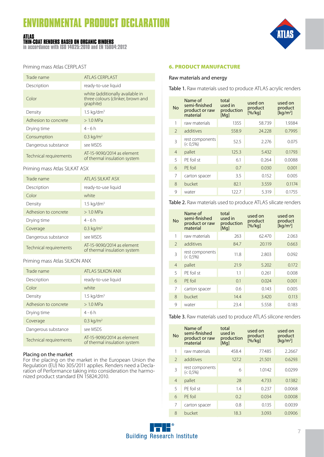#### **ATLAS THIN-COAT RENDERS BASED ON ORGANIC BINDERS**

**in accordance with ISO 14025:2010 and EN 15804:2012**



Priming mass Atlas CERPLAST

| Trade name             | <b>ATLAS CERPLAST</b>                                                              |
|------------------------|------------------------------------------------------------------------------------|
| Description            | ready-to-use liquid                                                                |
| Color                  | white (additionally available in<br>three colours (clinker, brown and<br>graphite) |
| Density                | $1.5 \text{ kg/dm}^3$                                                              |
| Adhesion to concrete   | $>1.0$ MPa                                                                         |
| Drying time            | $4 - 6h$                                                                           |
| Consumption            | $0.3 \text{ kg/m}^2$                                                               |
| Dangerous substance    | see MSDS                                                                           |
| Technical requirements | AT-15-9090/2014 as element<br>of thermal insulation system                         |

#### Priming mass Atlas SILKAT ASX

| Trade name             | ATI AS SILKAT ASX                                          |
|------------------------|------------------------------------------------------------|
| Description            | ready-to-use liquid                                        |
| Color                  | white                                                      |
| Density                | $1.5 \text{ kg/dm}^3$                                      |
| Adhesion to concrete   | $>1.0$ MPa                                                 |
| Drying time            | $4 - 6h$                                                   |
| Coverage               | $0.3 \text{ kg/m}^2$                                       |
| Dangerous substance    | see MSDS                                                   |
| Technical requirements | AT-15-9090/2014 as element<br>of thermal insulation system |

#### Priming mass Atlas SILKON ANX

| Trade name             | ATI AS SII KON ANX                                         |
|------------------------|------------------------------------------------------------|
| Description            | ready-to-use liquid                                        |
| Color                  | white                                                      |
| Density                | $1.5 \text{ kg/dm}^3$                                      |
| Adhesion to concrete   | $>1.0$ MPa                                                 |
| Drying time            | $4 - 6h$                                                   |
| Coverage               | $0.3 \text{ kg/m}^2$                                       |
| Dangerous substance    | see MSDS                                                   |
| Technical requirements | AT-15-9090/2014 as element<br>of thermal insulation system |

#### Placing on the market

For the placing on the market in the European Union the Regulation (EU) No 305/2011 applies. Renders need a Declaration of Performance taking into consideration the harmonized product standard EN 15824:2010.

#### 6. PRODUCT MANUFACTURE

#### Raw materials and energy

Table 1. Raw materials used to produce ATLAS acrylic renders

| <b>No</b>      | Name of<br>semi-finished<br>product or raw<br>material | total<br>used in<br>production<br>[Mq] | used on<br>product<br>[% / kg] | used on<br>product<br>[ $kg/m2$ ] |  |  |
|----------------|--------------------------------------------------------|----------------------------------------|--------------------------------|-----------------------------------|--|--|
| 1              | raw materials                                          | 1355                                   | 58.739                         | 1.9384                            |  |  |
| $\mathcal{P}$  | additives                                              | 558.9                                  | 24.228                         | 0.7995                            |  |  |
| 3              | rest components<br>$(< 0.5\%)$                         | 52.5                                   | 2.276                          | 0.075                             |  |  |
| $\overline{4}$ | pallet                                                 | 125.3                                  | 5.432                          | 0.1793                            |  |  |
| 5              | PF foil st                                             | 6.1                                    | 0.264                          | 0.0088                            |  |  |
| 6              | PF foil                                                | 0.7                                    | 0.030                          | 0.001                             |  |  |
| 7              | carton spacer                                          | 3.5                                    | 0.152                          | 0.005                             |  |  |
| 8              | bucket                                                 | 82.1                                   | 3.559                          | 0.1174                            |  |  |
| 9              | water                                                  | 122.7                                  | 5.319                          | 0.1755                            |  |  |

Table 2. Raw materials used to produce ATLAS silicate renders

| <b>No</b>      | Name of<br>semi-finished<br>product or raw<br>material | total<br>used in<br>production<br>[Mq] | used on<br>product<br>[% / kg] | used on<br>product<br>[ $kg/m2$ ] |  |  |
|----------------|--------------------------------------------------------|----------------------------------------|--------------------------------|-----------------------------------|--|--|
| 1              | raw materials                                          | 263                                    | 62.470                         | 2.063                             |  |  |
| $\mathfrak{D}$ | additives                                              | 84.7                                   | 20.119                         | 0.663                             |  |  |
| 3              | rest components<br>$(< 0.5\%)$                         | 11.8                                   | 2.803                          | 0.092                             |  |  |
| $\overline{4}$ | pallet                                                 | 21.9                                   | 5.202                          | 0.172                             |  |  |
| 5              | PF foil st                                             | 1.1                                    | 0.261                          | 0.008                             |  |  |
| 6              | PF foil                                                | 0.1                                    | 0.024                          | 0.001                             |  |  |
| 7              | carton spacer                                          | 0.6                                    | 0.143                          | 0.005                             |  |  |
| 8              | bucket                                                 | 14.4                                   | 3.420                          | 0.113                             |  |  |
| 9              | water                                                  | 23.4                                   | 5.558                          | 0.183                             |  |  |

Table 3. Raw materials used to produce ATLAS silicone renders

| <b>No</b>      | Name of<br>semi-finished<br>product or raw<br>material | total<br>used in<br>production<br>[Mq] | used on<br>product<br>[%/ka] | used on<br>product<br>[kq/m <sup>2</sup> ] |
|----------------|--------------------------------------------------------|----------------------------------------|------------------------------|--------------------------------------------|
| 1              | raw materials                                          | 458.4                                  | 77.485                       | 2.2667                                     |
| $\mathcal{P}$  | additives                                              | 127.2                                  | 21.501                       | 0.6293                                     |
| 3              | rest components<br>$(< 0.5\%)$                         | 6                                      | 1.0142                       | 0.0299                                     |
| $\overline{4}$ | pallet                                                 | 28                                     | 4.733                        | 0.1382                                     |
| 5              | PF foil st                                             | 14                                     | 0.237                        | 0.0068                                     |
| 6              | PF foil                                                | 0.2                                    | 0.034                        | 0.0008                                     |
| 7              | carton spacer                                          | 0.8                                    | 0.135                        | 0.0039                                     |
| 8              | bucket                                                 | 18.3                                   | 3.093                        | 0.0906                                     |

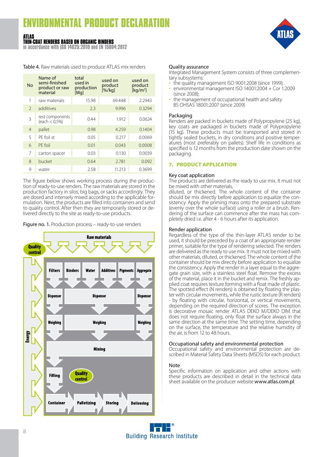#### **ATLAS THIN-COAT RENDERS BASED ON ORGANIC BINDERS**

**in accordance with ISO 14025:2010 and EN 15804:2012**

Table 4. Raw materials used to produce ATLAS mix renders

| <b>No</b>      | Name of<br>semi-finished<br>product or raw<br>material | total<br>used in<br>production<br>[Mq] | used on<br>product<br>[%/kq] | used on<br>product<br>[ $kg/m2$ ] |  |  |
|----------------|--------------------------------------------------------|----------------------------------------|------------------------------|-----------------------------------|--|--|
| 1              | raw materials                                          | 15.98                                  | 69.448                       | 2.2943                            |  |  |
| $\mathcal{P}$  | additives                                              | 2.3                                    | 9.996                        | 0.3294                            |  |  |
| 3              | rest components<br>(each < 0.5%)                       | 0.44                                   | 1.912                        | 0.0624                            |  |  |
| $\overline{4}$ | pallet                                                 | 0.98                                   | 4.259                        | 0.1404                            |  |  |
| 5              | PF foil st                                             | 0.05                                   | 0.217                        | 0.0069                            |  |  |
| 6              | PF foil                                                | 0.01                                   | 0.043                        | 0.0008                            |  |  |
| 7              | carton spacer                                          | 0.03                                   | 0.130                        | 0.0039                            |  |  |
| 8              | bucket                                                 | 0.64                                   | 2.781                        | 0.092                             |  |  |
| 9              | water                                                  | 2.58                                   | 11.213                       | 0.3699                            |  |  |

The figure below shows working process during the produc tion of ready-to-use renders. The raw materials are stored in the production factory in silos, big bags, or sacks accordingly. They are dosed and intensely mixed according to the applicable for mulation. Next, the products are filled into containers and send to quality control. After then they are temporarily stored or de livered directly to the site as ready-to-use products.

Figure no. 1. Production process - ready-to-use renders



#### Quality assurance

Integrated Management System consists of three complementary subsystems:

- the quality management ISO 9001:2008 (since 1999);
- environmental management ISO 14001:2004 + Cor 1:2009 (since 2008);
- the management of occupational health and safety BS OHSAS 18001:2007 (since 2009)

#### Packaging

Renders are packed in buckets made of Polypropylene (25 kg), key coats are packaged in buckets made of Polypropylene (15 kg). These products must be transported and stored in tightly sealed buckets, in dry conditions and positive temperatures (most preferably on pallets). Shelf life in conditions as specified is 12 months from the production date shown on the packaging.

#### 7. PRODUCT APPLICATION

#### Key coat application

The products are delivered as the ready to use mix. It must not be mixed with other materials,

diluted, or thickened. The whole content of the container should be mix directly before application to equalize the con sistency. Apply the priming mass onto the prepared substrate (evenly over the whole surface) using a roller or a brush. Ren dering of the surface can commence after the mass has com pletely dried i.e. after 4 - 6 hours after its application.

#### Render application

Regardless of the type of the thin-layer ATLAS render to be used, it should be preceded by a coat of an appropriate render primer, suitable for the type of rendering selected. The renders are delivered as the ready to use mix. It must not be mixed with other materials, diluted, or thickened. The whole content of the container should be mix directly before application to equalize the consistency. Apply the render in a layer equal to the aggregate grain size, with a stainless steel float. Remove the excess of the material, place it in the bucket and remix. The freshly applied coat requires texture forming with a float made of plastic. The spotted effect (N renders) is obtained by floating the plaster with circular movements, while the rustic texture (R renders) - by floating with circular, horizontal, or vertical movements, depending on the required direction of scores. The exception is decorative mosaic render ATLAS DEKO M/DEKO DIM that does not require floating, only float the surface always in the same direction at the same time. The setting time, depending on the surface, the temperature and the relative humidity of the air, is from 12 to 48 hours.

#### Occupational safety and environmental protection

Occupational safety and environmental protection are described in Material Safety Data Sheets (MSDS) for each product.

#### Note

Specific information on application and other actions with these products are described in detail in the technical data sheet available on the producer website www.atlas.com.pl.

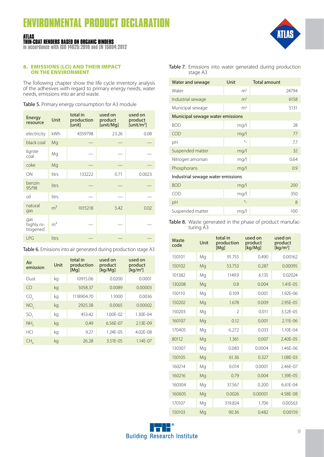#### **ATLAS THIN-COAT RENDERS BASED ON ORGANIC BINDERS**

**in accordance with ISO 14025:2010 and EN 15804:2012**

#### 8. EMISSIONS (LCI) AND THEIR IMPACT ON THE ENVIRONMENT

The following chapter show the life cycle inventory analysis of the adhesives with regard to primary energy needs, water needs, emissions into air and waste.

Table 5. Primary energy consumption for A3 module

| Energy<br>resource            | Unit           | total in<br>production<br>[unit] | used on<br>product<br>[unit/Mg] | used on<br>product<br>[unit/m <sup>2</sup> ] |
|-------------------------------|----------------|----------------------------------|---------------------------------|----------------------------------------------|
| electricity                   | kWh            | 4359798                          | 23.26                           | 0.08                                         |
| black coal                    | Mg             |                                  |                                 |                                              |
| lignite<br>coal               | Mg             |                                  |                                 |                                              |
| coke                          | Mg             |                                  |                                 |                                              |
| ON                            | litrs          | 133222                           | 0.71                            | 0.0023                                       |
| benzin<br>95/98               | litrs          |                                  |                                 |                                              |
| oil                           | litrs          |                                  |                                 |                                              |
| natural<br>gas                | m <sup>3</sup> | 1015218                          | 5.42                            | 0.02                                         |
| gas<br>highly ni-<br>trogened | m <sup>3</sup> |                                  |                                 |                                              |
| LPG                           | litrs          |                                  |                                 |                                              |

| Table 6. Emissions into air generated during production stage A3 |  |  |  |
|------------------------------------------------------------------|--|--|--|
|------------------------------------------------------------------|--|--|--|

| Air<br>emission | Unit | total in<br>production<br>[Mq] | used on<br>product<br>[kg/Mg] | used on<br>product<br>[ $kg/m2$ ] |  |  |
|-----------------|------|--------------------------------|-------------------------------|-----------------------------------|--|--|
| Dust            | kg   | 10915.06                       | 0.0200                        | 0.0001                            |  |  |
| $\bigcap$       | kg   | 5058.37                        | 0.0089                        | 0.00003                           |  |  |
| CO,             | kg   | 1118904.70                     | 1.1000                        | 0.0036                            |  |  |
| NO <sub>2</sub> | kg   | 2925.38                        | 0.0065                        | 0.00002                           |  |  |
| SO <sub>2</sub> | kg   | 453.42                         | $1.00F - 02$                  | 1.30F-04                          |  |  |
| NH,             | kg   | 0.49                           | 6.56E-07                      | 2.13E-09                          |  |  |
| HCI             | kg   | 9.27                           | $1.24F - 0.5$                 | $4.02F - 08$                      |  |  |
| CH.             | kg   | 26.28                          | $3.51F - 0.5$                 | $1.14F - 07$                      |  |  |

Table 7. Emissions into water generated during production stage A3

| Water and sewage                  | Unit           | <b>Total amount</b> |  |  |  |  |  |  |  |  |  |
|-----------------------------------|----------------|---------------------|--|--|--|--|--|--|--|--|--|
| Water                             | m <sup>3</sup> | 24794               |  |  |  |  |  |  |  |  |  |
| Industrial sewage                 | m <sup>3</sup> | 6158                |  |  |  |  |  |  |  |  |  |
| Municipal sewage:                 | m <sup>3</sup> | 5131                |  |  |  |  |  |  |  |  |  |
| Municipal sewage water emissions  |                |                     |  |  |  |  |  |  |  |  |  |
| <b>BOD</b>                        | mg/l           | 28                  |  |  |  |  |  |  |  |  |  |
| COD                               | mq/l           | 77                  |  |  |  |  |  |  |  |  |  |
| рH                                | $\circ$        | 7.7                 |  |  |  |  |  |  |  |  |  |
| Suspended matter                  | mq/l           | 32                  |  |  |  |  |  |  |  |  |  |
| Nitrogen amonian                  | mq/l           | 0.64                |  |  |  |  |  |  |  |  |  |
| Phosphorans                       | mq/l           | 0.9                 |  |  |  |  |  |  |  |  |  |
| Industrial sewage water emissions |                |                     |  |  |  |  |  |  |  |  |  |
| <b>BOD</b>                        | mq/l           | 200                 |  |  |  |  |  |  |  |  |  |
| COD                               | mg/l           | 350                 |  |  |  |  |  |  |  |  |  |
| pH                                | $\circ$        | 8                   |  |  |  |  |  |  |  |  |  |
| Suspended matter                  | mq/l           | 100                 |  |  |  |  |  |  |  |  |  |

Table 8. Waste generated in the phase of product manufacturing A3

| Waste<br>code | Unit | total in<br>production<br>[Mq] | used on<br>product<br>[kq/Mq] | used on<br>product<br>[ $kg/m2$ ] |
|---------------|------|--------------------------------|-------------------------------|-----------------------------------|
| 150101        | Mg   | 91.755                         | 0.490                         | 0.00162                           |
| 150102        | Mg   | 53.753                         | 0.287                         | 0.00095                           |
| 101382        | Mg   | 1149.9                         | 6.135                         | 0.02024                           |
| 130208        | Mg   | 0.8                            | 0.004                         | $1.41F - 0.5$                     |
| 150110        | Mg   | 0.109                          | 0.001                         | 1.92E-06                          |
| 150202        | Mg   | 1.678                          | 0.009                         | $2.95F - 0.5$                     |
| 150203        | Mg   | $\mathfrak{D}$                 | 0.011                         | 3.52E-05                          |
| 160107        | Mg   | 0.12                           | 0.001                         | $2.11F - 06$                      |
| 170405        | Mg   | 6.272                          | 0.033                         | 1.10F-04                          |
| 80112         | Mg   | 1.361                          | 0.007                         | 2.40E-05                          |
| 130307        | Mg   | 0.083                          | 0.0004                        | 1.46F-06                          |
| 150105        | Mg   | 61.36                          | 0.327                         | 1.08E-03                          |
| 160214        | Mg   | 0.014                          | 0.0001                        | $2.46F - 07$                      |
| 160216        | Mg   | 0.79                           | 0.004                         | 1.39E-05                          |
| 160304        | Mg   | 37.567                         | 0.200                         | 6.61E-04                          |
| 160605        | Mg   | 0.0026                         | 0.00001                       | 4.58F-08                          |
| 170107        | Mg   | 319.824                        | 1.706                         | 0.00563                           |
| 150103        | Mg   | 90.36                          | 0.482                         | 0.00159                           |



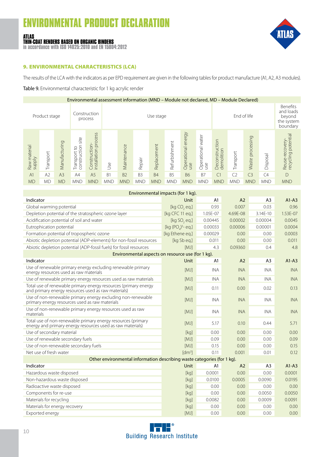#### **ATLAS THIN-COAT RENDERS BASED ON ORGANIC BINDERS**

**in accordance with ISO 14025:2010 and EN 15804:2012**



#### 9. ENVIRONMENTAL CHARACTERISTICS (LCA)

The results of the LCA with the indicators as per EPD requirement are given in the following tables for product manufacture (A1, A2, A3 modules).

#### Table 9. Environmental characteristic for 1 kg acrylic render

| Environmental assessment information (MND - Module not declared, MD - Module Declared) |               |                |                                         |                                              |                |                |                |             |                |                           |                          |                              |                |                  |                |                                                           |
|----------------------------------------------------------------------------------------|---------------|----------------|-----------------------------------------|----------------------------------------------|----------------|----------------|----------------|-------------|----------------|---------------------------|--------------------------|------------------------------|----------------|------------------|----------------|-----------------------------------------------------------|
|                                                                                        | Product stage |                |                                         | Construction<br>process                      |                | Use stage      |                |             |                |                           |                          | End of life                  |                |                  |                | Benefits<br>and loads<br>beyond<br>the system<br>boundary |
| Raw material<br>supply                                                                 | Transport     | Manufacturing  | site<br>construction<br>S,<br>Transport | process<br>Construction-<br>installation pro | Jse            | Maintenance    | Repair         | Replacement | Refurbishment  | Operational energy<br>use | Operational water<br>use | Deconstruction<br>demolition | Transport      | Waste processing | Disposal       | Reuse-recovery-<br>recycling potential                    |
| A <sub>1</sub>                                                                         | A2            | A <sub>3</sub> | A4                                      | A <sub>5</sub>                               | B <sub>1</sub> | B <sub>2</sub> | B <sub>3</sub> | <b>B4</b>   | B <sub>5</sub> | <b>B6</b>                 | B7                       | C <sub>1</sub>               | C <sub>2</sub> | C <sub>3</sub>   | C <sub>4</sub> | D                                                         |
| <b>MD</b>                                                                              | <b>MD</b>     | <b>MD</b>      | <b>MND</b>                              | <b>MND</b>                                   | <b>MND</b>     | <b>MND</b>     | <b>MND</b>     | <b>MND</b>  | <b>MND</b>     | <b>MND</b>                | <b>MND</b>               | <b>MND</b>                   | <b>MND</b>     | <b>MND</b>       | <b>MND</b>     | <b>MND</b>                                                |

| Environmental impacts (for 1 kg).                                                                                          |                       |            |                |                |              |  |  |  |  |  |
|----------------------------------------------------------------------------------------------------------------------------|-----------------------|------------|----------------|----------------|--------------|--|--|--|--|--|
| Indicator                                                                                                                  | Unit                  | A1         | A <sub>2</sub> | A <sub>3</sub> | $A1-A3$      |  |  |  |  |  |
| Global warming potential                                                                                                   | [kg CO, eq.]          | 0.93       | 0.007          | 0.03           | 0.96         |  |  |  |  |  |
| Depletion potential of the stratospheric ozone layer                                                                       | [kg CFC 11 eq.]       | 1.05E-07   | 4.69E-08       | 3.14E-10       | $1.53F - 07$ |  |  |  |  |  |
| Acidification potential of soil and water                                                                                  | [kg SO, eq.]          | 0.00445    | 0.00002        | 0.00004        | 0.0045       |  |  |  |  |  |
| Eutrophication potential                                                                                                   | [kg $(PO_4)^3$ - eq.] | 0.00033    | 0.00006        | 0.00001        | 0.0004       |  |  |  |  |  |
| Formation potential of tropospheric ozone                                                                                  | [kg Ethene eq.]       | 0.00029    | 0.00           | 0.00           | 0.0003       |  |  |  |  |  |
| Abiotic depletion potential (ADP-elements) for non-fossil resources                                                        | [kg Sb eq.]           | 0.011      | 0.00           | 0.00           | 0.011        |  |  |  |  |  |
| Abiotic depletion potential (ADP-fossil fuels) for fossil resources                                                        | <b>IMJ1</b>           | 4.3        | 0.09360        | 0.4            | 4.8          |  |  |  |  |  |
| Environmental aspects on resource use (for 1 kg).                                                                          |                       |            |                |                |              |  |  |  |  |  |
| Indicator                                                                                                                  | Unit                  | A1         | A <sub>2</sub> | A <sub>3</sub> | $A1-A3$      |  |  |  |  |  |
| Use of renewable primary energy excluding renewable primary<br>energy resources used as raw materials                      | [MJ]                  | <b>INA</b> | <b>INA</b>     | <b>INA</b>     | <b>INA</b>   |  |  |  |  |  |
| Use of renewable primary energy resources used as raw materials                                                            | [MJ]                  | <b>INA</b> | <b>INA</b>     | <b>INA</b>     | <b>INA</b>   |  |  |  |  |  |
| Total use of renewable primary energy resources (primary energy<br>and primary energy resources used as raw materials)     | [MJ]                  | 0.11       | 0.00           | 0.02           | 0.13         |  |  |  |  |  |
| Use of non-renewable primary energy excluding non-renewable<br>primary energy resources used as raw materials              | [MJ]                  | <b>INA</b> | <b>INA</b>     | <b>INA</b>     | <b>INA</b>   |  |  |  |  |  |
| Use of non-renewable primary energy resources used as raw<br>materials                                                     | <b>IMJ1</b>           | <b>INA</b> | <b>INA</b>     | <b>INA</b>     | <b>INA</b>   |  |  |  |  |  |
| Total use of non-renewable primary energy resources (primary<br>energy and primary energy resources used as raw materials) | <b>IMJ1</b>           | 5.17       | 0.10           | 0.44           | 5.71         |  |  |  |  |  |
| Use of secondary material                                                                                                  | [kq]                  | 0.00       | 0.00           | 0.00           | 0.00         |  |  |  |  |  |
| Use of renewable secondary fuels                                                                                           | [MJ]                  | 0.09       | 0.00           | 0.00           | 0.09         |  |  |  |  |  |
| Use of non-renewable secondary fuels                                                                                       | [MJ]                  | 0.15       | 0.00           | 0.00           | 0.15         |  |  |  |  |  |
| Net use of fresh water                                                                                                     | $\lceil dm^3 \rceil$  | 0.11       | 0.001          | 0.01           | 0.12         |  |  |  |  |  |
| Other environmental information describing waste categories (for 1 kg).                                                    |                       |            |                |                |              |  |  |  |  |  |
| Indicator                                                                                                                  | Unit                  | A1         | A <sub>2</sub> | A <sub>3</sub> | $A1-A3$      |  |  |  |  |  |
| Hazardous waste disposed                                                                                                   | [kg]                  | 0.0001     | 0.00           | 0.00           | 0.0001       |  |  |  |  |  |
| Non-hazardous waste disposed                                                                                               | [kq]                  | 0.0100     | 0.0005         | 0.0090         | 0.0195       |  |  |  |  |  |
| Radioactive waste disposed                                                                                                 | [kg]                  | 0.00       | 0.00           | 0.00           | 0.00         |  |  |  |  |  |
| Components for re-use                                                                                                      | [kq]                  | 0.00       | 0.00           | 0.0050         | 0.0050       |  |  |  |  |  |
| Materials for recycling                                                                                                    | [kq]                  | 0.0082     | 0.00           | 0.0009         | 0.0091       |  |  |  |  |  |
| Materials for energy recovery                                                                                              | [kg]                  | 0.00       | 0.00           | 0.00           | 0.00         |  |  |  |  |  |
| Exported energy                                                                                                            | [MJ]                  | 0.00       | 0.00           | 0.00           | 0.00         |  |  |  |  |  |

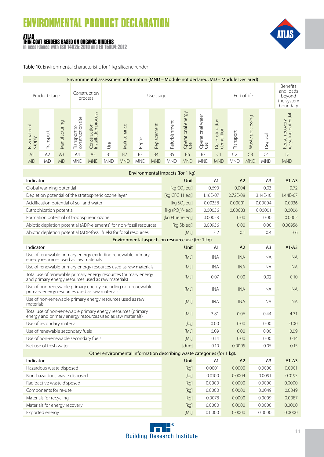#### **ATLAS THIN-COAT RENDERS BASED ON ORGANIC BINDERS**

**in accordance with ISO 14025:2010 and EN 15804:2012**



Table 10. Environmental characteristic for 1 kg silicone render

| Environmental assessment information (MND – Module not declared, MD – Module Declared) |                |                |                                        |                                              |                |                          |                |             |                |                           |                               |                                                           |                |                     |            |                                        |
|----------------------------------------------------------------------------------------|----------------|----------------|----------------------------------------|----------------------------------------------|----------------|--------------------------|----------------|-------------|----------------|---------------------------|-------------------------------|-----------------------------------------------------------|----------------|---------------------|------------|----------------------------------------|
|                                                                                        | Product stage  |                |                                        | Construction<br>process                      |                | End of life<br>Use stage |                |             |                |                           |                               | Benefits<br>and loads<br>beyond<br>the system<br>boundary |                |                     |            |                                        |
| Raw material<br>supply                                                                 | Transport      | Manufacturing  | site<br>construction<br>S<br>Transport | process<br>Construction-<br>installation pro | Use            | Maintenance              | Repair         | Replacement | Refurbishment  | Operational energy<br>use | water<br>Operational v<br>use | Deconstruction<br>demolition                              | Transport      | processing<br>Waste | Disposal   | Reuse-recovery-<br>recycling potential |
| A <sub>1</sub>                                                                         | A <sub>2</sub> | A <sub>3</sub> | A4                                     | A <sub>5</sub>                               | B <sub>1</sub> | B <sub>2</sub>           | B <sub>3</sub> | <b>B4</b>   | B <sub>5</sub> | <b>B6</b>                 | <b>B7</b>                     | C <sub>1</sub>                                            | C <sub>2</sub> | C <sub>3</sub>      | C4         | D                                      |
| <b>MD</b>                                                                              | <b>MD</b>      | <b>MD</b>      | <b>MND</b>                             | <b>MND</b>                                   | <b>MND</b>     | <b>MND</b>               | <b>MND</b>     | <b>MND</b>  | <b>MND</b>     | <b>MND</b>                | <b>MND</b>                    | <b>MND</b>                                                | <b>MND</b>     | <b>MND</b>          | <b>MND</b> | <b>MND</b>                             |
|                                                                                        |                |                |                                        |                                              |                |                          |                |             |                |                           |                               |                                                           |                |                     |            |                                        |

| Environmental impacts (for 1 kg).                                                                                          |                          |                |                |                |              |  |  |  |  |  |
|----------------------------------------------------------------------------------------------------------------------------|--------------------------|----------------|----------------|----------------|--------------|--|--|--|--|--|
| Indicator                                                                                                                  | <b>Unit</b>              | A1             | A <sub>2</sub> | A <sub>3</sub> | $A1-A3$      |  |  |  |  |  |
| Global warming potential                                                                                                   | [kg CO <sub>2</sub> eq.] | 0.690          | 0.004          | 0.03           | 0.72         |  |  |  |  |  |
| Depletion potential of the stratospheric ozone layer                                                                       | [kg CFC 11 eq.]          | 1.16E-07       | 2.72E-08       | 3.14E-10       | $1.44F - 07$ |  |  |  |  |  |
| Acidification potential of soil and water                                                                                  | [kg SO, eq.]             | 0.00358        | 0.00001        | 0.00004        | 0.0036       |  |  |  |  |  |
| Eutrophication potential                                                                                                   | [kg $(POa)3 - eq.]$      | 0.00056        | 0.00003        | 0.00001        | 0.0006       |  |  |  |  |  |
| Formation potential of tropospheric ozone                                                                                  | [kg Ethene eq.]          | 0.00023        | 0.00           | 0.00           | 0.0002       |  |  |  |  |  |
| Abiotic depletion potential (ADP-elements) for non-fossil resources                                                        | [kg Sb eg.]              | 0.00956        | 0.00           | 0.00           | 0.00956      |  |  |  |  |  |
| Abiotic depletion potential (ADP-fossil fuels) for fossil resources                                                        | <b>IMJ1</b>              | 3.2            | 0.1            | 0.4            | 3.6          |  |  |  |  |  |
| Environmental aspects on resource use (for 1 kg).                                                                          |                          |                |                |                |              |  |  |  |  |  |
| Indicator                                                                                                                  | Unit                     | A1             | A2             | A3             | $A1-A3$      |  |  |  |  |  |
| Use of renewable primary energy excluding renewable primary<br>energy resources used as raw materials                      | [MJ]                     | <b>INA</b>     | <b>INA</b>     | <b>INA</b>     | <b>INA</b>   |  |  |  |  |  |
| Use of renewable primary energy resources used as raw materials                                                            | [MJ]                     | <b>INA</b>     | <b>INA</b>     | <b>INA</b>     | <b>INA</b>   |  |  |  |  |  |
| Total use of renewable primary energy resources (primary energy<br>and primary energy resources used as raw materials)     | <b>IMJ1</b>              | 0.07           | 0.00           | 0.02           | 0.10         |  |  |  |  |  |
| Use of non-renewable primary energy excluding non-renewable<br>primary energy resources used as raw materials              | <b>IMJ1</b>              | <b>INA</b>     | <b>INA</b>     | <b>INA</b>     | <b>INA</b>   |  |  |  |  |  |
| Use of non-renewable primary energy resources used as raw<br>materials                                                     | <b>IMJ1</b>              | <b>INA</b>     | <b>INA</b>     | <b>INA</b>     | <b>INA</b>   |  |  |  |  |  |
| Total use of non-renewable primary energy resources (primary<br>energy and primary energy resources used as raw materials) | <b>IMJ1</b>              | 3.81           | 0.06           | 0.44           | 4.31         |  |  |  |  |  |
| Use of secondary material                                                                                                  | [kq]                     | 0.00           | 0.00           | 0.00           | 0.00         |  |  |  |  |  |
| Use of renewable secondary fuels                                                                                           | <b>IMJ1</b>              | 0.09           | 0.00           | 0.00           | 0.09         |  |  |  |  |  |
| Use of non-renewable secondary fuels                                                                                       | [MJ]                     | 0.14           | 0.00           | 0.00           | 0.14         |  |  |  |  |  |
| Net use of fresh water                                                                                                     | [dm <sup>3</sup> ]       | 0.10           | 0.0005         | 0.05           | 0.15         |  |  |  |  |  |
| Other environmental information describing waste categories (for 1 kg).                                                    |                          |                |                |                |              |  |  |  |  |  |
| Indicator                                                                                                                  | Unit                     | A <sub>1</sub> | A2             | A <sub>3</sub> | $A1-A3$      |  |  |  |  |  |
| Hazardous waste disposed                                                                                                   | [kq]                     | 0.0001         | 0.0000         | 0.0000         | 0.0001       |  |  |  |  |  |
| Non-hazardous waste disposed                                                                                               | [kg]                     | 0.0100         | 0.0004         | 0.0091         | 0.0195       |  |  |  |  |  |
| Radioactive waste disposed                                                                                                 | [kg]                     | 0.0000         | 0.0000         | 0.0000         | 0.0000       |  |  |  |  |  |
| Components for re-use                                                                                                      | [kq]                     | 0.0000         | 0.0000         | 0.0049         | 0.0049       |  |  |  |  |  |
| Materials for recycling                                                                                                    | [kq]                     | 0.0078         | 0.0000         | 0.0009         | 0.0087       |  |  |  |  |  |
| Materials for energy recovery                                                                                              | [kq]                     | 0.0000         | 0.0000         | 0.0000         | 0.0000       |  |  |  |  |  |
| Exported energy                                                                                                            | <b>IMJ1</b>              | 0.0000         | 0.0000         | 0.0000         | 0.0000       |  |  |  |  |  |

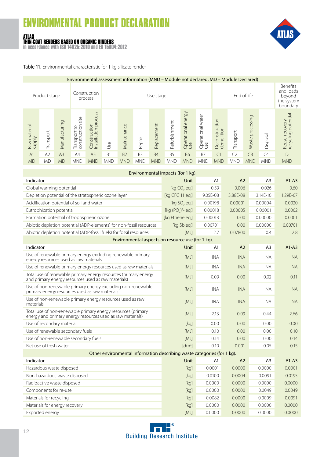#### **ATLAS THIN-COAT RENDERS BASED ON ORGANIC BINDERS**

**in accordance with ISO 14025:2010 and EN 15804:2012**



Table 11. Environmental characteristic for 1 kg silicate render

| Environmental assessment information (MND – Module not declared, MD – Module Declared) |               |                |                                        |                                              |                |                |                          |             |                |                           |                          |                                                           |                |                  |            |                                       |
|----------------------------------------------------------------------------------------|---------------|----------------|----------------------------------------|----------------------------------------------|----------------|----------------|--------------------------|-------------|----------------|---------------------------|--------------------------|-----------------------------------------------------------|----------------|------------------|------------|---------------------------------------|
|                                                                                        | Product stage |                |                                        | Construction<br>process                      |                |                | End of life<br>Use stage |             |                |                           |                          | Benefits<br>and loads<br>beyond<br>the system<br>boundary |                |                  |            |                                       |
| Raw material<br>supply                                                                 | Transport     | Manufacturing  | site<br>construction<br>S<br>Transport | process<br>Construction-<br>installation pro | Use            | Maintenance    | Repair                   | Replacement | Refurbishment  | Operational energy<br>use | Operational water<br>use | Deconstruction<br>demolition                              | Transport      | Waste processing | Disposal   | Reuse-recovery-<br>recycling potentia |
| A <sub>1</sub>                                                                         | A2            | A <sub>3</sub> | A4                                     | A <sub>5</sub>                               | B <sub>1</sub> | B <sub>2</sub> | B <sub>3</sub>           | <b>B4</b>   | B <sub>5</sub> | <b>B6</b>                 | <b>B7</b>                | C <sub>1</sub>                                            | C <sub>2</sub> | C <sub>3</sub>   | C4         | D                                     |
| <b>MD</b>                                                                              | MD            | <b>MD</b>      | <b>MND</b>                             | <b>MND</b>                                   | <b>MND</b>     | <b>MND</b>     | <b>MND</b>               | <b>MND</b>  | <b>MND</b>     | <b>MND</b>                | <b>MND</b>               | <b>MND</b>                                                | <b>MND</b>     | <b>MND</b>       | <b>MND</b> | <b>MND</b>                            |
|                                                                                        |               |                |                                        |                                              |                |                |                          |             |                |                           |                          |                                                           |                |                  |            |                                       |
|                                                                                        |               |                |                                        |                                              |                |                |                          |             |                |                           |                          |                                                           |                |                  |            |                                       |

| Environmental impacts (for 1 kg).                                                                                          |                          |            |                |                |              |  |  |  |  |  |  |
|----------------------------------------------------------------------------------------------------------------------------|--------------------------|------------|----------------|----------------|--------------|--|--|--|--|--|--|
| Indicator                                                                                                                  | Unit                     | A1         | A <sub>2</sub> | A <sub>3</sub> | $A1-A3$      |  |  |  |  |  |  |
| Global warming potential                                                                                                   | [kg CO <sub>2</sub> eq.] | 0.59       | 0.006          | 0.026          | 0.60         |  |  |  |  |  |  |
| Depletion potential of the stratospheric ozone layer                                                                       | [kg CFC 11 eq.]          | 9.05E-08   | 3.88E-08       | 3.14E-10       | $1.29F - 07$ |  |  |  |  |  |  |
| Acidification potential of soil and water                                                                                  | [kg SO, eq.]             | 0.00198    | 0.00001        | 0.00004        | 0.0020       |  |  |  |  |  |  |
| Eutrophication potential                                                                                                   | [kg $(POa)3 - eq.]$      | 0.00018    | 0.00005        | 0.00001        | 0.0002       |  |  |  |  |  |  |
| Formation potential of tropospheric ozone                                                                                  | [kg Ethene eq.]          | 0.00013    | 0.00           | 0.00000        | 0.0001       |  |  |  |  |  |  |
| Abiotic depletion potential (ADP-elements) for non-fossil resources                                                        | [kg Sb eq.]              | 0.00701    | 0.00           | 0.00000        | 0.00701      |  |  |  |  |  |  |
| Abiotic depletion potential (ADP-fossil fuels) for fossil resources                                                        | <b>IMJ1</b>              | 2.7        | 0.07800        | 0.4            | 2.8          |  |  |  |  |  |  |
| Environmental aspects on resource use (for 1 kg).                                                                          |                          |            |                |                |              |  |  |  |  |  |  |
| Indicator                                                                                                                  | Unit                     | A1         | A <sub>2</sub> | A <sub>3</sub> | $A1-A3$      |  |  |  |  |  |  |
| Use of renewable primary energy excluding renewable primary<br>energy resources used as raw materials                      | <b>IMJ1</b>              | <b>INA</b> | <b>INA</b>     | <b>INA</b>     | <b>INA</b>   |  |  |  |  |  |  |
| Use of renewable primary energy resources used as raw materials                                                            | [MJ]                     | <b>INA</b> | <b>INA</b>     | <b>INA</b>     | <b>INA</b>   |  |  |  |  |  |  |
| Total use of renewable primary energy resources (primary energy<br>and primary energy resources used as raw materials)     | [MJ]                     | 0.09       | 0.00           | 0.02           | 0.11         |  |  |  |  |  |  |
| Use of non-renewable primary energy excluding non-renewable<br>primary energy resources used as raw materials              | [MJ]                     | <b>INA</b> | <b>INA</b>     | <b>INA</b>     | <b>INA</b>   |  |  |  |  |  |  |
| Use of non-renewable primary energy resources used as raw<br>materials                                                     | <b>IMJ1</b>              | <b>INA</b> | <b>INA</b>     | <b>INA</b>     | <b>INA</b>   |  |  |  |  |  |  |
| Total use of non-renewable primary energy resources (primary<br>energy and primary energy resources used as raw materials) | [MJ]                     | 2.13       | 0.09           | 0.44           | 2.66         |  |  |  |  |  |  |
| Use of secondary material                                                                                                  | [kq]                     | 0.00       | 0.00           | 0.00           | 0.00         |  |  |  |  |  |  |
| Use of renewable secondary fuels                                                                                           | [MJ]                     | 0.10       | 0.00           | 0.00           | 0.10         |  |  |  |  |  |  |
| Use of non-renewable secondary fuels                                                                                       | [MJ]                     | 0.14       | 0.00           | 0.00           | 0.14         |  |  |  |  |  |  |
| Net use of fresh water                                                                                                     | Idm <sup>3</sup>         | 0.10       | 0.001          | 0.05           | 0.15         |  |  |  |  |  |  |
| Other environmental information describing waste categories (for 1 kg).                                                    |                          |            |                |                |              |  |  |  |  |  |  |
| Indicator                                                                                                                  | Unit                     | A1         | A <sub>2</sub> | A <sub>3</sub> | $A1-A3$      |  |  |  |  |  |  |
| Hazardous waste disposed                                                                                                   | [kq]                     | 0.0001     | 0.0000         | 0.0000         | 0.0001       |  |  |  |  |  |  |
| Non-hazardous waste disposed                                                                                               | [kg]                     | 0.0100     | 0.0004         | 0.0091         | 0.0195       |  |  |  |  |  |  |
| Radioactive waste disposed                                                                                                 | [kq]                     | 0.0000     | 0.0000         | 0.0000         | 0.0000       |  |  |  |  |  |  |
| Components for re-use                                                                                                      | [kq]                     | 0.0000     | 0.0000         | 0.0049         | 0.0049       |  |  |  |  |  |  |
| Materials for recycling                                                                                                    | [kg]                     | 0.0082     | 0.0000         | 0.0009         | 0.0091       |  |  |  |  |  |  |
| Materials for energy recovery                                                                                              | [kq]                     | 0.0000     | 0.0000         | 0.0000         | 0.0000       |  |  |  |  |  |  |
| Exported energy                                                                                                            | [MJ]                     | 0.0000     | 0.0000         | 0.0000         | 0.0000       |  |  |  |  |  |  |

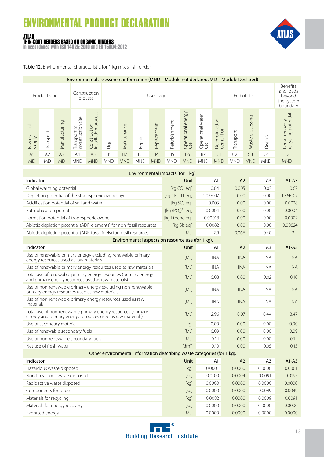#### **ATLAS THIN-COAT RENDERS BASED ON ORGANIC BINDERS**

**in accordance with ISO 14025:2010 and EN 15804:2012**



Table 12. Environmental characteristic for 1 kg mix sil-sil render

| Environmental assessment information (MND – Module not declared, MD – Module Declared) |               |                |                                         |                                              |            |                          |                |             |                |                           |                                                                  |                              |                |                     |            |                                                      |
|----------------------------------------------------------------------------------------|---------------|----------------|-----------------------------------------|----------------------------------------------|------------|--------------------------|----------------|-------------|----------------|---------------------------|------------------------------------------------------------------|------------------------------|----------------|---------------------|------------|------------------------------------------------------|
|                                                                                        | Product stage |                |                                         | Construction<br>process                      |            | End of life<br>Use stage |                |             |                |                           | <b>Benefits</b><br>and loads<br>beyond<br>the system<br>boundary |                              |                |                     |            |                                                      |
| Raw material<br>supply                                                                 | Transport     | Manufacturing  | site<br>construction<br>S,<br>Transport | process<br>Construction-<br>installation pro | Use        | Maintenance              | Repair         | Replacement | Refurbishment  | Operational energy<br>use | water<br>Operational<br>use                                      | Deconstruction<br>demolition | Transport      | processing<br>Waste | Disposal   | Reuse-recovery-<br>recycling potential<br>-recovery- |
| A <sub>1</sub>                                                                         | A2            | A <sub>3</sub> | A4                                      | A <sub>5</sub>                               | <b>B1</b>  | <b>B2</b>                | B <sub>3</sub> | <b>B4</b>   | B <sub>5</sub> | <b>B6</b>                 | <b>B7</b>                                                        | C <sub>1</sub>               | C <sub>2</sub> | C <sub>3</sub>      | C4         | $\mathsf{D}$                                         |
| <b>MD</b>                                                                              | МD            | <b>MD</b>      | <b>MND</b>                              | <b>MND</b>                                   | <b>MND</b> | <b>MND</b>               | <b>MND</b>     | <b>MND</b>  | <b>MND</b>     | <b>MND</b>                | <b>MND</b>                                                       | <b>MND</b>                   | <b>MND</b>     | <b>MND</b>          | <b>MND</b> | <b>MND</b>                                           |

| Environmental impacts (for 1 kg).                                                                                          |                          |            |                |                |            |  |  |  |  |  |
|----------------------------------------------------------------------------------------------------------------------------|--------------------------|------------|----------------|----------------|------------|--|--|--|--|--|
| Indicator                                                                                                                  | Unit                     | A1         | A <sub>2</sub> | A <sub>3</sub> | $A1-A3$    |  |  |  |  |  |
| Global warming potential                                                                                                   | [kg CO, eq.]             | 0.64       | 0.005          | 0.03           | 0.67       |  |  |  |  |  |
| Depletion potential of the stratospheric ozone layer                                                                       | [kg CFC 11 eq.]          | 1.03E-07   | 0.00           | 0.00           | 1.36E-07   |  |  |  |  |  |
| Acidification potential of soil and water                                                                                  | [kg SO <sub>2</sub> eq.] | 0.003      | 0.00           | 0.00           | 0.0028     |  |  |  |  |  |
| Eutrophication potential                                                                                                   | [kg $(POa)3$ - eq.]      | 0.0004     | 0.00           | 0.00           | 0.0004     |  |  |  |  |  |
| Formation potential of tropospheric ozone                                                                                  | [kg Ethene eq.]          | 0.00018    | 0.00           | 0.00           | 0.0002     |  |  |  |  |  |
| Abiotic depletion potential (ADP-elements) for non-fossil resources                                                        | [kg Sb eq.]              | 0.0082     | 0.00           | 0.00           | 0.00824    |  |  |  |  |  |
| Abiotic depletion potential (ADP-fossil fuels) for fossil resources                                                        | <b>IMJ1</b>              | 2.9        | 0.066          | 0.40           | 3.4        |  |  |  |  |  |
| Environmental aspects on resource use (for 1 kg).                                                                          |                          |            |                |                |            |  |  |  |  |  |
| Indicator                                                                                                                  | Unit                     | A1         | A <sub>2</sub> | A <sub>3</sub> | $A1-A3$    |  |  |  |  |  |
| Use of renewable primary energy excluding renewable primary<br>energy resources used as raw materials                      | [MJ]                     | <b>INA</b> | <b>INA</b>     | <b>INA</b>     | <b>INA</b> |  |  |  |  |  |
| Use of renewable primary energy resources used as raw materials                                                            | [MJ]                     | <b>INA</b> | <b>INA</b>     | <b>INA</b>     | <b>INA</b> |  |  |  |  |  |
| Total use of renewable primary energy resources (primary energy<br>and primary energy resources used as raw materials)     | <b>IMJ1</b>              | 0.08       | 0.00           | 0.02           | 0.10       |  |  |  |  |  |
| Use of non-renewable primary energy excluding non-renewable<br>primary energy resources used as raw materials              | <b>IMJ1</b>              | <b>INA</b> | <b>INA</b>     | <b>INA</b>     | <b>INA</b> |  |  |  |  |  |
| Use of non-renewable primary energy resources used as raw<br>materials                                                     | <b>IMJ1</b>              | <b>INA</b> | <b>INA</b>     | <b>INA</b>     | <b>INA</b> |  |  |  |  |  |
| Total use of non-renewable primary energy resources (primary<br>energy and primary energy resources used as raw materials) | <b>IMJ1</b>              | 2.96       | 0.07           | 0.44           | 3.47       |  |  |  |  |  |
| Use of secondary material                                                                                                  | [kq]                     | 0.00       | 0.00           | 0.00           | 0.00       |  |  |  |  |  |
| Use of renewable secondary fuels                                                                                           | <b>IMJ1</b>              | 0.09       | 0.00           | 0.00           | 0.09       |  |  |  |  |  |
| Use of non-renewable secondary fuels                                                                                       | [MJ]                     | 0.14       | 0.00           | 0.00           | 0.14       |  |  |  |  |  |
| Net use of fresh water                                                                                                     | $\lceil dm^3 \rceil$     | 0.10       | 0.00           | 0.05           | 0.15       |  |  |  |  |  |
| Other environmental information describing waste categories (for 1 kg).                                                    |                          |            |                |                |            |  |  |  |  |  |
| Indicator                                                                                                                  | Unit                     | A1         | A2             | A <sub>3</sub> | $A1-A3$    |  |  |  |  |  |
| Hazardous waste disposed                                                                                                   | [kq]                     | 0.0001     | 0.0000         | 0.0000         | 0.0001     |  |  |  |  |  |
| Non-hazardous waste disposed                                                                                               | [kg]                     | 0.0100     | 0.0004         | 0.0091         | 0.0195     |  |  |  |  |  |
| Radioactive waste disposed                                                                                                 | [kq]                     | 0.0000     | 0.0000         | 0.0000         | 0.0000     |  |  |  |  |  |
| Components for re-use                                                                                                      | [kg]                     | 0.0000     | 0.0000         | 0.0049         | 0.0049     |  |  |  |  |  |
| Materials for recycling                                                                                                    | [kq]                     | 0.0082     | 0.0000         | 0.0009         | 0.0091     |  |  |  |  |  |
| Materials for energy recovery                                                                                              | [kq]                     | 0.0000     | 0.0000         | 0.0000         | 0.0000     |  |  |  |  |  |
| Exported energy                                                                                                            | <b>IMJ1</b>              | 0.0000     | 0.0000         | 0.0000         | 0.0000     |  |  |  |  |  |

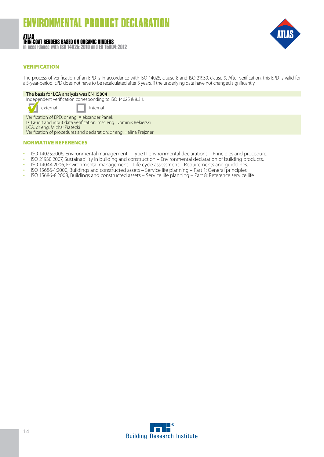#### **ATLAS THIN-COAT RENDERS BASED ON ORGANIC BINDERS**

**in accordance with ISO 14025:2010 and EN 15804:2012**



#### VERIFICATION

The process of verification of an EPD is in accordance with ISO 14025, clause 8 and ISO 21930, clause 9. After verification, this EPD is valid for a 5-year-period. EPD does not have to be recalculated after 5 years, if the underlying data have not changed significantly.

#### The basis for LCA analysis was EN 15804

Independent verification corresponding to ISO 14025 & 8.3.1.

external I internal

Verification of EPD: dr eng. Aleksander Panek LCI audit and input data verification: msc eng. Dominik Bekierski LCA: dr eng. Michał Piasecki Verification of procedures and declaration: dr eng. Halina Prejzner

#### NORMATIVE REFERENCES

- 
- ISO 14025:2006, Environmental management Type III environmental declarations Principles and procedure.<br>• ISO 21930:2007, Sustainability in building and construction Environmental declaration of building products.<br>•
- 
- 
- 

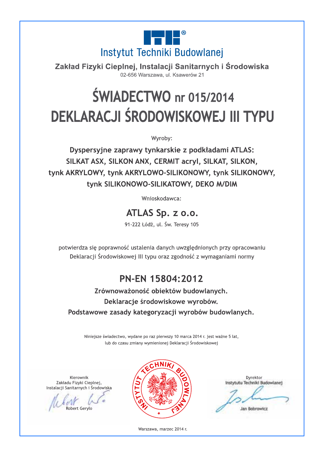

Zakład Fizyki Cieplnej, Instalacji Sanitarnych i Środowiska 02-656 Warszawa, ul. Ksawerów 21

## **ŚWIADECTWO** nr 015/2014 DEKLARACJI ŚRODOWISKOWEJ III TYPU

Wyroby:

Dyspersyjne zaprawy tynkarskie z podkładami ATLAS: SILKAT ASX, SILKON ANX, CERMIT acryl, SILKAT, SILKON, tynk AKRYLOWY, tynk AKRYLOWO-SILIKONOWY, tynk SILIKONOWY, tynk SILIKONOWO-SILIKATOWY, DEKO M/DIM

Wnioskodawca:

ATLAS Sp. z o.o.

91-222 Łódź, ul. Św. Teresy 105

potwierdza się poprawność ustalenia danych uwzględnionych przy opracowaniu Deklaracji Środowiskowej III typu oraz zgodność z wymaganiami normy

### PN-EN 15804:2012

Zrównoważoność obiektów budowlanych. Deklaracje środowiskowe wyrobów. Podstawowe zasady kategoryzacji wyrobów budowlanych.

Niniejsze świadectwo, wydane po raz pierwszy 10 marca 2014 r. jest ważne 5 lat, lub do czasu zmiany wymienionej Deklaracji Środowiskowej

Kierownik Zakładu Fizyki Cieplnej, Instalacji Sanitarnych i Środowiska

obert Geryk



Dyrektor Instytutu Techniki Budowlane) Jan Bobrowicz

Warszawa, marzec 2014 r.